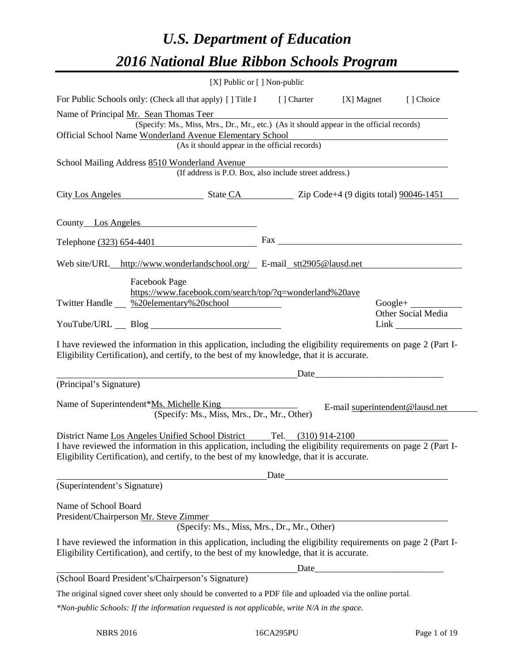# *U.S. Department of Education 2016 National Blue Ribbon Schools Program*

|                                                                                                                                                                                         |                                                                                                                                                                                                              | [X] Public or [] Non-public                   |                                                                                          |                                 |                           |
|-----------------------------------------------------------------------------------------------------------------------------------------------------------------------------------------|--------------------------------------------------------------------------------------------------------------------------------------------------------------------------------------------------------------|-----------------------------------------------|------------------------------------------------------------------------------------------|---------------------------------|---------------------------|
|                                                                                                                                                                                         | For Public Schools only: (Check all that apply) [] Title I [] Charter                                                                                                                                        |                                               |                                                                                          | [X] Magnet                      | [ ] Choice                |
|                                                                                                                                                                                         | Name of Principal Mr. Sean Thomas Teer                                                                                                                                                                       |                                               |                                                                                          |                                 |                           |
|                                                                                                                                                                                         |                                                                                                                                                                                                              |                                               | (Specify: Ms., Miss, Mrs., Dr., Mr., etc.) (As it should appear in the official records) |                                 |                           |
|                                                                                                                                                                                         | Official School Name Wonderland Avenue Elementary School                                                                                                                                                     | (As it should appear in the official records) |                                                                                          |                                 |                           |
|                                                                                                                                                                                         |                                                                                                                                                                                                              |                                               |                                                                                          |                                 |                           |
|                                                                                                                                                                                         | School Mailing Address 8510 Wonderland Avenue                                                                                                                                                                |                                               | (If address is P.O. Box, also include street address.)                                   |                                 |                           |
|                                                                                                                                                                                         | City Los Angeles State CA Zip Code+4 (9 digits total) 90046-1451                                                                                                                                             |                                               |                                                                                          |                                 |                           |
|                                                                                                                                                                                         |                                                                                                                                                                                                              |                                               |                                                                                          |                                 |                           |
|                                                                                                                                                                                         | County Los Angeles                                                                                                                                                                                           |                                               |                                                                                          |                                 |                           |
|                                                                                                                                                                                         | Telephone (323) 654-4401                                                                                                                                                                                     |                                               | $\text{Fax}$                                                                             |                                 |                           |
|                                                                                                                                                                                         | Web site/URL_http://www.wonderlandschool.org/ E-mail_stt2905@lausd.net                                                                                                                                       |                                               |                                                                                          |                                 |                           |
|                                                                                                                                                                                         | Facebook Page                                                                                                                                                                                                |                                               |                                                                                          |                                 |                           |
|                                                                                                                                                                                         | https://www.facebook.com/search/top/?q=wonderland%20ave                                                                                                                                                      |                                               |                                                                                          |                                 |                           |
|                                                                                                                                                                                         | Twitter Handle %20elementary%20school                                                                                                                                                                        |                                               |                                                                                          |                                 |                           |
|                                                                                                                                                                                         |                                                                                                                                                                                                              |                                               |                                                                                          |                                 | <b>Other Social Media</b> |
|                                                                                                                                                                                         | I have reviewed the information in this application, including the eligibility requirements on page 2 (Part I-<br>Eligibility Certification), and certify, to the best of my knowledge, that it is accurate. |                                               |                                                                                          |                                 |                           |
| (Principal's Signature)                                                                                                                                                                 |                                                                                                                                                                                                              |                                               |                                                                                          |                                 |                           |
|                                                                                                                                                                                         |                                                                                                                                                                                                              |                                               |                                                                                          |                                 |                           |
|                                                                                                                                                                                         | Name of Superintendent*Ms. Michelle King                                                                                                                                                                     | (Specify: Ms., Miss, Mrs., Dr., Mr., Other)   |                                                                                          | E-mail superintendent@lausd.net |                           |
|                                                                                                                                                                                         |                                                                                                                                                                                                              |                                               |                                                                                          |                                 |                           |
| District Name Los Angeles Unified School District Tel. (310) 914-2100<br>I have reviewed the information in this application, including the eligibility requirements on page 2 (Part I- |                                                                                                                                                                                                              |                                               |                                                                                          |                                 |                           |
| Eligibility Certification), and certify, to the best of my knowledge, that it is accurate.                                                                                              |                                                                                                                                                                                                              |                                               |                                                                                          |                                 |                           |
|                                                                                                                                                                                         |                                                                                                                                                                                                              |                                               |                                                                                          | Date                            |                           |
| (Superintendent's Signature)                                                                                                                                                            |                                                                                                                                                                                                              |                                               |                                                                                          |                                 |                           |
| Name of School Board                                                                                                                                                                    |                                                                                                                                                                                                              |                                               |                                                                                          |                                 |                           |
|                                                                                                                                                                                         | President/Chairperson Mr. Steve Zimmer                                                                                                                                                                       |                                               | Extemmer<br>(Specify: Ms., Miss, Mrs., Dr., Mr., Other)                                  |                                 |                           |
|                                                                                                                                                                                         |                                                                                                                                                                                                              |                                               |                                                                                          |                                 |                           |
|                                                                                                                                                                                         | I have reviewed the information in this application, including the eligibility requirements on page 2 (Part I-<br>Eligibility Certification), and certify, to the best of my knowledge, that it is accurate. |                                               |                                                                                          |                                 |                           |
|                                                                                                                                                                                         |                                                                                                                                                                                                              |                                               |                                                                                          |                                 |                           |
|                                                                                                                                                                                         | (School Board President's/Chairperson's Signature)                                                                                                                                                           |                                               |                                                                                          |                                 |                           |
|                                                                                                                                                                                         | The original signed cover sheet only should be converted to a PDF file and uploaded via the online portal.                                                                                                   |                                               |                                                                                          |                                 |                           |
|                                                                                                                                                                                         | *Non-public Schools: If the information requested is not applicable, write N/A in the space.                                                                                                                 |                                               |                                                                                          |                                 |                           |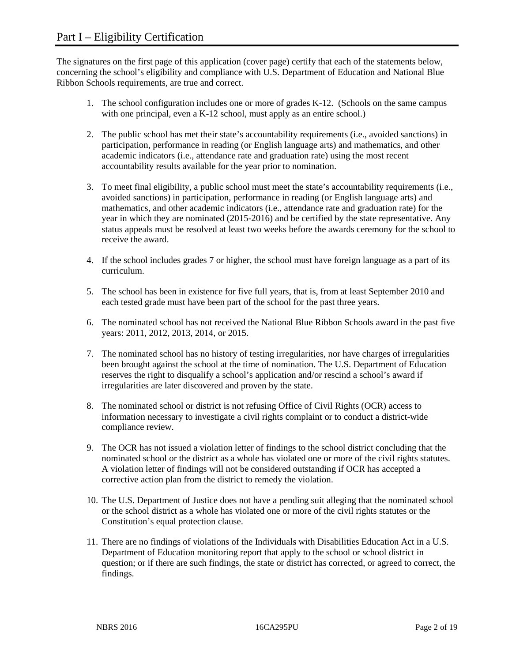The signatures on the first page of this application (cover page) certify that each of the statements below, concerning the school's eligibility and compliance with U.S. Department of Education and National Blue Ribbon Schools requirements, are true and correct.

- 1. The school configuration includes one or more of grades K-12. (Schools on the same campus with one principal, even a K-12 school, must apply as an entire school.)
- 2. The public school has met their state's accountability requirements (i.e., avoided sanctions) in participation, performance in reading (or English language arts) and mathematics, and other academic indicators (i.e., attendance rate and graduation rate) using the most recent accountability results available for the year prior to nomination.
- 3. To meet final eligibility, a public school must meet the state's accountability requirements (i.e., avoided sanctions) in participation, performance in reading (or English language arts) and mathematics, and other academic indicators (i.e., attendance rate and graduation rate) for the year in which they are nominated (2015-2016) and be certified by the state representative. Any status appeals must be resolved at least two weeks before the awards ceremony for the school to receive the award.
- 4. If the school includes grades 7 or higher, the school must have foreign language as a part of its curriculum.
- 5. The school has been in existence for five full years, that is, from at least September 2010 and each tested grade must have been part of the school for the past three years.
- 6. The nominated school has not received the National Blue Ribbon Schools award in the past five years: 2011, 2012, 2013, 2014, or 2015.
- 7. The nominated school has no history of testing irregularities, nor have charges of irregularities been brought against the school at the time of nomination. The U.S. Department of Education reserves the right to disqualify a school's application and/or rescind a school's award if irregularities are later discovered and proven by the state.
- 8. The nominated school or district is not refusing Office of Civil Rights (OCR) access to information necessary to investigate a civil rights complaint or to conduct a district-wide compliance review.
- 9. The OCR has not issued a violation letter of findings to the school district concluding that the nominated school or the district as a whole has violated one or more of the civil rights statutes. A violation letter of findings will not be considered outstanding if OCR has accepted a corrective action plan from the district to remedy the violation.
- 10. The U.S. Department of Justice does not have a pending suit alleging that the nominated school or the school district as a whole has violated one or more of the civil rights statutes or the Constitution's equal protection clause.
- 11. There are no findings of violations of the Individuals with Disabilities Education Act in a U.S. Department of Education monitoring report that apply to the school or school district in question; or if there are such findings, the state or district has corrected, or agreed to correct, the findings.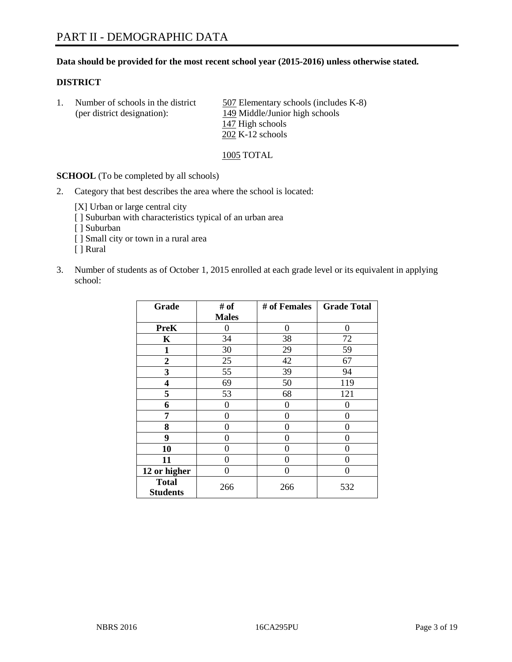#### **Data should be provided for the most recent school year (2015-2016) unless otherwise stated.**

#### **DISTRICT**

1. Number of schools in the district 507 Elementary schools (includes K-8) (per district designation): 149 Middle/Junior high schools 147 High schools 202 K-12 schools

1005 TOTAL

**SCHOOL** (To be completed by all schools)

2. Category that best describes the area where the school is located:

[X] Urban or large central city [ ] Suburban with characteristics typical of an urban area [ ] Suburban [ ] Small city or town in a rural area [ ] Rural

3. Number of students as of October 1, 2015 enrolled at each grade level or its equivalent in applying school:

| Grade                           | # of         | # of Females | <b>Grade Total</b> |
|---------------------------------|--------------|--------------|--------------------|
|                                 | <b>Males</b> |              |                    |
| <b>PreK</b>                     | 0            | 0            | 0                  |
| K                               | 34           | 38           | 72                 |
| 1                               | 30           | 29           | 59                 |
| $\overline{2}$                  | 25           | 42           | 67                 |
| 3                               | 55           | 39           | 94                 |
| 4                               | 69           | 50           | 119                |
| 5                               | 53           | 68           | 121                |
| 6                               | 0            | 0            | 0                  |
| 7                               | 0            | 0            | 0                  |
| 8                               | 0            | 0            | 0                  |
| 9                               | 0            | 0            | 0                  |
| 10                              | 0            | 0            | 0                  |
| 11                              | 0            | 0            | 0                  |
| 12 or higher                    | 0            | 0            | $\Omega$           |
| <b>Total</b><br><b>Students</b> | 266          | 266          | 532                |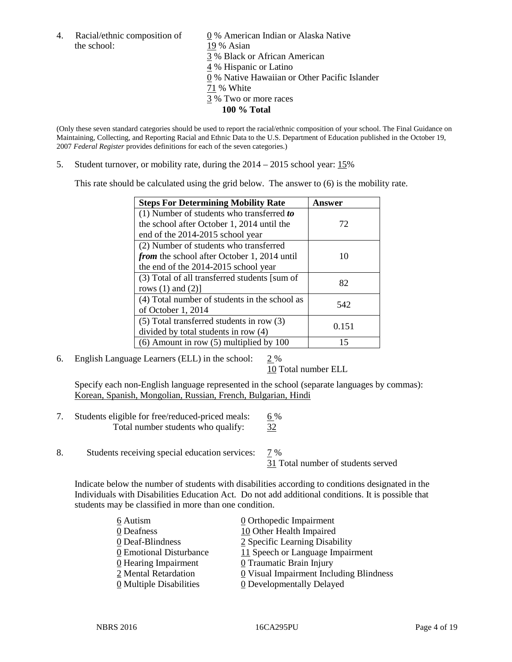the school: 19 % Asian

4. Racial/ethnic composition of  $\qquad \underline{0}$  % American Indian or Alaska Native 3 % Black or African American 4 % Hispanic or Latino 0 % Native Hawaiian or Other Pacific Islander 71 % White 3 % Two or more races **100 % Total**

(Only these seven standard categories should be used to report the racial/ethnic composition of your school. The Final Guidance on Maintaining, Collecting, and Reporting Racial and Ethnic Data to the U.S. Department of Education published in the October 19, 2007 *Federal Register* provides definitions for each of the seven categories.)

5. Student turnover, or mobility rate, during the 2014 – 2015 school year: 15%

This rate should be calculated using the grid below. The answer to (6) is the mobility rate.

| <b>Steps For Determining Mobility Rate</b>         | Answer |  |
|----------------------------------------------------|--------|--|
| (1) Number of students who transferred to          |        |  |
| the school after October 1, 2014 until the         | 72     |  |
| end of the 2014-2015 school year                   |        |  |
| (2) Number of students who transferred             |        |  |
| <i>from</i> the school after October 1, 2014 until | 10     |  |
| the end of the 2014-2015 school year               |        |  |
| (3) Total of all transferred students [sum of      | 82     |  |
| rows $(1)$ and $(2)$ ]                             |        |  |
| (4) Total number of students in the school as      | 542    |  |
| of October 1, 2014                                 |        |  |
| (5) Total transferred students in row (3)          | 0.151  |  |
| divided by total students in row (4)               |        |  |
| $(6)$ Amount in row $(5)$ multiplied by 100        | 15     |  |

6. English Language Learners (ELL) in the school: 2 %

10 Total number ELL

Specify each non-English language represented in the school (separate languages by commas): Korean, Spanish, Mongolian, Russian, French, Bulgarian, Hindi

- 7. Students eligible for free/reduced-priced meals: 6 % Total number students who qualify:  $\frac{32}{3}$
- 8. Students receiving special education services: 7 %

31 Total number of students served

Indicate below the number of students with disabilities according to conditions designated in the Individuals with Disabilities Education Act. Do not add additional conditions. It is possible that students may be classified in more than one condition.

| 6 Autism                              | 0 Orthopedic Impairment                 |
|---------------------------------------|-----------------------------------------|
| 0 Deafness                            | 10 Other Health Impaired                |
| 0 Deaf-Blindness                      | 2 Specific Learning Disability          |
| 0 Emotional Disturbance               | 11 Speech or Language Impairment        |
| 0 Hearing Impairment                  | 0 Traumatic Brain Injury                |
| 2 Mental Retardation                  | 0 Visual Impairment Including Blindness |
| $\underline{0}$ Multiple Disabilities | <b>0</b> Developmentally Delayed        |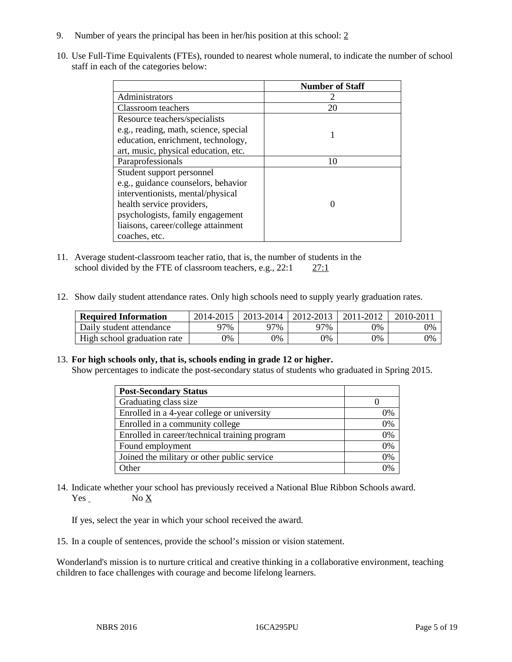- 9. Number of years the principal has been in her/his position at this school: 2
- 10. Use Full-Time Equivalents (FTEs), rounded to nearest whole numeral, to indicate the number of school staff in each of the categories below:

|                                       | <b>Number of Staff</b> |
|---------------------------------------|------------------------|
| Administrators                        |                        |
| Classroom teachers                    | 20                     |
| Resource teachers/specialists         |                        |
| e.g., reading, math, science, special |                        |
| education, enrichment, technology,    |                        |
| art, music, physical education, etc.  |                        |
| Paraprofessionals                     | 10                     |
| Student support personnel             |                        |
| e.g., guidance counselors, behavior   |                        |
| interventionists, mental/physical     |                        |
| health service providers,             |                        |
| psychologists, family engagement      |                        |
| liaisons, career/college attainment   |                        |
| coaches, etc.                         |                        |

- 11. Average student-classroom teacher ratio, that is, the number of students in the school divided by the FTE of classroom teachers, e.g., 22:1 27:1
- 12. Show daily student attendance rates. Only high schools need to supply yearly graduation rates.

| <b>Required Information</b> | 2014-2015 | $2013 - 2014$ | 2012-2013 | 2011-2012 | $2010 - 2011$ |
|-----------------------------|-----------|---------------|-----------|-----------|---------------|
| Daily student attendance    | ን7%       | 97%           | 97%       | 9%        | 0%            |
| High school graduation rate | 9%        | $9\%$         | 9%        | 9%        | 0%            |

#### 13. **For high schools only, that is, schools ending in grade 12 or higher.**

Show percentages to indicate the post-secondary status of students who graduated in Spring 2015.

| <b>Post-Secondary Status</b>                  |    |
|-----------------------------------------------|----|
| Graduating class size                         |    |
| Enrolled in a 4-year college or university    | 0% |
| Enrolled in a community college               | 0% |
| Enrolled in career/technical training program | 0% |
| Found employment                              | 0% |
| Joined the military or other public service   | 0% |
| Other                                         | 0/ |

14. Indicate whether your school has previously received a National Blue Ribbon Schools award. Yes No X

If yes, select the year in which your school received the award.

15. In a couple of sentences, provide the school's mission or vision statement.

Wonderland's mission is to nurture critical and creative thinking in a collaborative environment, teaching children to face challenges with courage and become lifelong learners.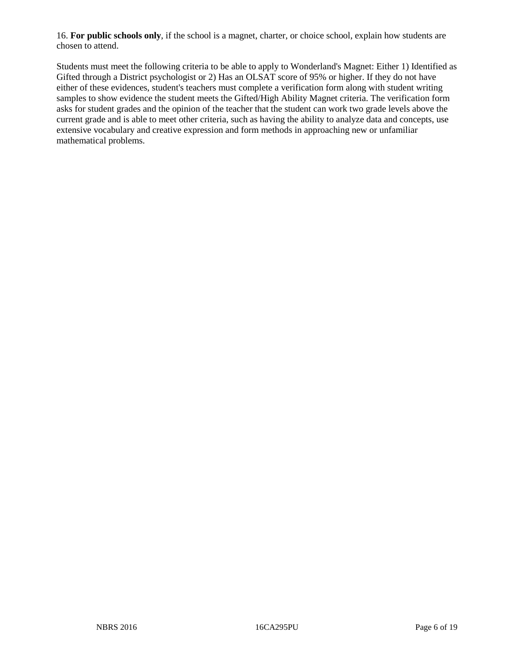16. **For public schools only**, if the school is a magnet, charter, or choice school, explain how students are chosen to attend.

Students must meet the following criteria to be able to apply to Wonderland's Magnet: Either 1) Identified as Gifted through a District psychologist or 2) Has an OLSAT score of 95% or higher. If they do not have either of these evidences, student's teachers must complete a verification form along with student writing samples to show evidence the student meets the Gifted/High Ability Magnet criteria. The verification form asks for student grades and the opinion of the teacher that the student can work two grade levels above the current grade and is able to meet other criteria, such as having the ability to analyze data and concepts, use extensive vocabulary and creative expression and form methods in approaching new or unfamiliar mathematical problems.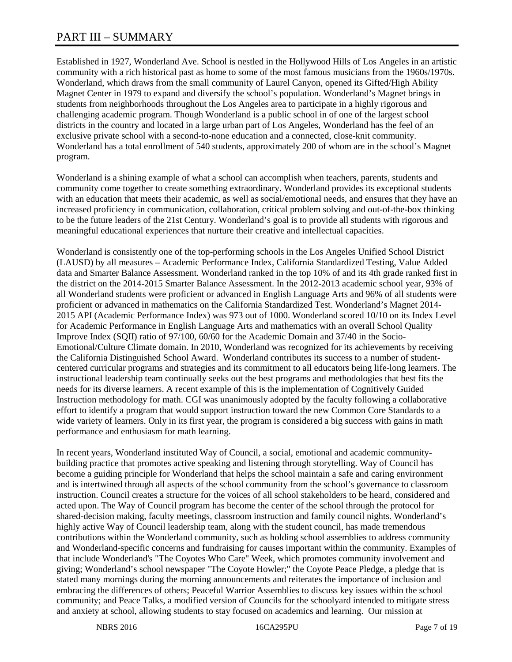# PART III – SUMMARY

Established in 1927, Wonderland Ave. School is nestled in the Hollywood Hills of Los Angeles in an artistic community with a rich historical past as home to some of the most famous musicians from the 1960s/1970s. Wonderland, which draws from the small community of Laurel Canyon, opened its Gifted/High Ability Magnet Center in 1979 to expand and diversify the school's population. Wonderland's Magnet brings in students from neighborhoods throughout the Los Angeles area to participate in a highly rigorous and challenging academic program. Though Wonderland is a public school in of one of the largest school districts in the country and located in a large urban part of Los Angeles, Wonderland has the feel of an exclusive private school with a second-to-none education and a connected, close-knit community. Wonderland has a total enrollment of 540 students, approximately 200 of whom are in the school's Magnet program.

Wonderland is a shining example of what a school can accomplish when teachers, parents, students and community come together to create something extraordinary. Wonderland provides its exceptional students with an education that meets their academic, as well as social/emotional needs, and ensures that they have an increased proficiency in communication, collaboration, critical problem solving and out-of-the-box thinking to be the future leaders of the 21st Century. Wonderland's goal is to provide all students with rigorous and meaningful educational experiences that nurture their creative and intellectual capacities.

Wonderland is consistently one of the top-performing schools in the Los Angeles Unified School District (LAUSD) by all measures – Academic Performance Index, California Standardized Testing, Value Added data and Smarter Balance Assessment. Wonderland ranked in the top 10% of and its 4th grade ranked first in the district on the 2014-2015 Smarter Balance Assessment. In the 2012-2013 academic school year, 93% of all Wonderland students were proficient or advanced in English Language Arts and 96% of all students were proficient or advanced in mathematics on the California Standardized Test. Wonderland's Magnet 2014- 2015 API (Academic Performance Index) was 973 out of 1000. Wonderland scored 10/10 on its Index Level for Academic Performance in English Language Arts and mathematics with an overall School Quality Improve Index (SQII) ratio of 97/100, 60/60 for the Academic Domain and 37/40 in the Socio-Emotional/Culture Climate domain. In 2010, Wonderland was recognized for its achievements by receiving the California Distinguished School Award. Wonderland contributes its success to a number of studentcentered curricular programs and strategies and its commitment to all educators being life-long learners. The instructional leadership team continually seeks out the best programs and methodologies that best fits the needs for its diverse learners. A recent example of this is the implementation of Cognitively Guided Instruction methodology for math. CGI was unanimously adopted by the faculty following a collaborative effort to identify a program that would support instruction toward the new Common Core Standards to a wide variety of learners. Only in its first year, the program is considered a big success with gains in math performance and enthusiasm for math learning.

In recent years, Wonderland instituted Way of Council, a social, emotional and academic communitybuilding practice that promotes active speaking and listening through storytelling. Way of Council has become a guiding principle for Wonderland that helps the school maintain a safe and caring environment and is intertwined through all aspects of the school community from the school's governance to classroom instruction. Council creates a structure for the voices of all school stakeholders to be heard, considered and acted upon. The Way of Council program has become the center of the school through the protocol for shared-decision making, faculty meetings, classroom instruction and family council nights. Wonderland's highly active Way of Council leadership team, along with the student council, has made tremendous contributions within the Wonderland community, such as holding school assemblies to address community and Wonderland-specific concerns and fundraising for causes important within the community. Examples of that include Wonderland's "The Coyotes Who Care" Week, which promotes community involvement and giving; Wonderland's school newspaper "The Coyote Howler;" the Coyote Peace Pledge, a pledge that is stated many mornings during the morning announcements and reiterates the importance of inclusion and embracing the differences of others; Peaceful Warrior Assemblies to discuss key issues within the school community; and Peace Talks, a modified version of Councils for the schoolyard intended to mitigate stress and anxiety at school, allowing students to stay focused on academics and learning. Our mission at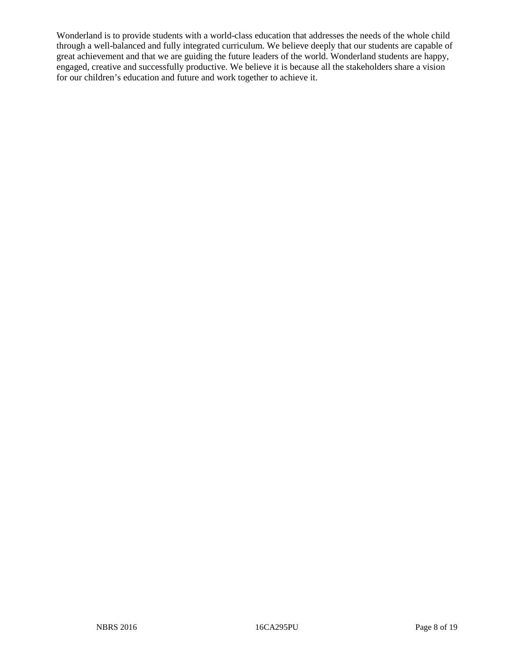Wonderland is to provide students with a world-class education that addresses the needs of the whole child through a well-balanced and fully integrated curriculum. We believe deeply that our students are capable of great achievement and that we are guiding the future leaders of the world. Wonderland students are happy, engaged, creative and successfully productive. We believe it is because all the stakeholders share a vision for our children's education and future and work together to achieve it.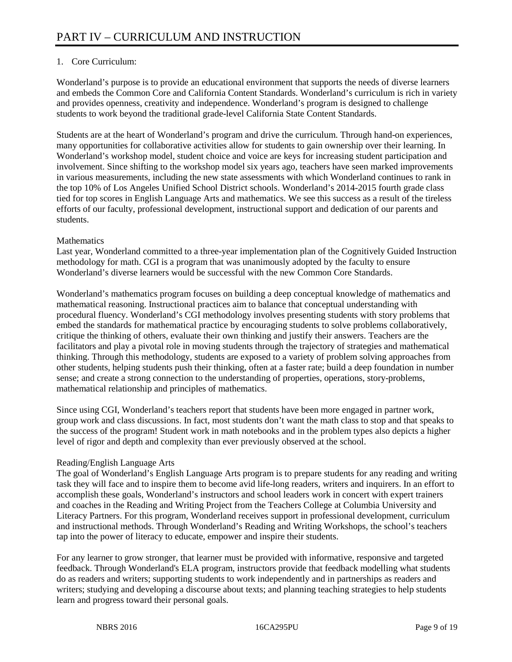# 1. Core Curriculum:

Wonderland's purpose is to provide an educational environment that supports the needs of diverse learners and embeds the Common Core and California Content Standards. Wonderland's curriculum is rich in variety and provides openness, creativity and independence. Wonderland's program is designed to challenge students to work beyond the traditional grade-level California State Content Standards.

Students are at the heart of Wonderland's program and drive the curriculum. Through hand-on experiences, many opportunities for collaborative activities allow for students to gain ownership over their learning. In Wonderland's workshop model, student choice and voice are keys for increasing student participation and involvement. Since shifting to the workshop model six years ago, teachers have seen marked improvements in various measurements, including the new state assessments with which Wonderland continues to rank in the top 10% of Los Angeles Unified School District schools. Wonderland's 2014-2015 fourth grade class tied for top scores in English Language Arts and mathematics. We see this success as a result of the tireless efforts of our faculty, professional development, instructional support and dedication of our parents and students.

### **Mathematics**

Last year, Wonderland committed to a three-year implementation plan of the Cognitively Guided Instruction methodology for math. CGI is a program that was unanimously adopted by the faculty to ensure Wonderland's diverse learners would be successful with the new Common Core Standards.

Wonderland's mathematics program focuses on building a deep conceptual knowledge of mathematics and mathematical reasoning. Instructional practices aim to balance that conceptual understanding with procedural fluency. Wonderland's CGI methodology involves presenting students with story problems that embed the standards for mathematical practice by encouraging students to solve problems collaboratively, critique the thinking of others, evaluate their own thinking and justify their answers. Teachers are the facilitators and play a pivotal role in moving students through the trajectory of strategies and mathematical thinking. Through this methodology, students are exposed to a variety of problem solving approaches from other students, helping students push their thinking, often at a faster rate; build a deep foundation in number sense; and create a strong connection to the understanding of properties, operations, story-problems, mathematical relationship and principles of mathematics.

Since using CGI, Wonderland's teachers report that students have been more engaged in partner work, group work and class discussions. In fact, most students don't want the math class to stop and that speaks to the success of the program! Student work in math notebooks and in the problem types also depicts a higher level of rigor and depth and complexity than ever previously observed at the school.

# Reading/English Language Arts

The goal of Wonderland's English Language Arts program is to prepare students for any reading and writing task they will face and to inspire them to become avid life-long readers, writers and inquirers. In an effort to accomplish these goals, Wonderland's instructors and school leaders work in concert with expert trainers and coaches in the Reading and Writing Project from the Teachers College at Columbia University and Literacy Partners. For this program, Wonderland receives support in professional development, curriculum and instructional methods. Through Wonderland's Reading and Writing Workshops, the school's teachers tap into the power of literacy to educate, empower and inspire their students.

For any learner to grow stronger, that learner must be provided with informative, responsive and targeted feedback. Through Wonderland's ELA program, instructors provide that feedback modelling what students do as readers and writers; supporting students to work independently and in partnerships as readers and writers; studying and developing a discourse about texts; and planning teaching strategies to help students learn and progress toward their personal goals.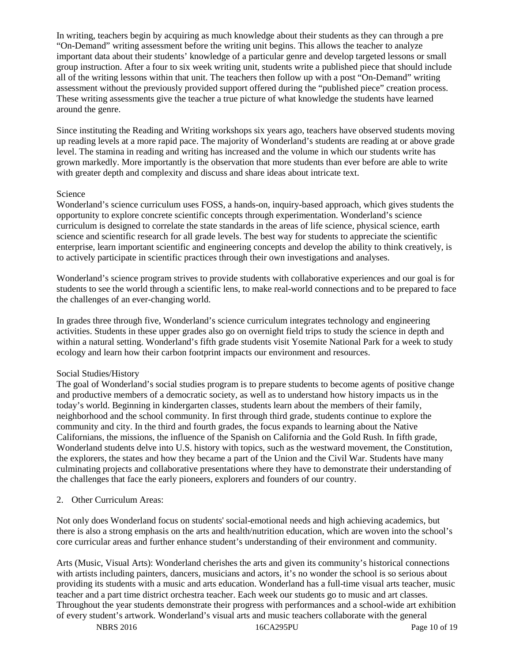In writing, teachers begin by acquiring as much knowledge about their students as they can through a pre "On-Demand" writing assessment before the writing unit begins. This allows the teacher to analyze important data about their students' knowledge of a particular genre and develop targeted lessons or small group instruction. After a four to six week writing unit, students write a published piece that should include all of the writing lessons within that unit. The teachers then follow up with a post "On-Demand" writing assessment without the previously provided support offered during the "published piece" creation process. These writing assessments give the teacher a true picture of what knowledge the students have learned around the genre.

Since instituting the Reading and Writing workshops six years ago, teachers have observed students moving up reading levels at a more rapid pace. The majority of Wonderland's students are reading at or above grade level. The stamina in reading and writing has increased and the volume in which our students write has grown markedly. More importantly is the observation that more students than ever before are able to write with greater depth and complexity and discuss and share ideas about intricate text.

#### Science

Wonderland's science curriculum uses FOSS, a hands-on, inquiry-based approach, which gives students the opportunity to explore concrete scientific concepts through experimentation. Wonderland's science curriculum is designed to correlate the state standards in the areas of life science, physical science, earth science and scientific research for all grade levels. The best way for students to appreciate the scientific enterprise, learn important scientific and engineering concepts and develop the ability to think creatively, is to actively participate in scientific practices through their own investigations and analyses.

Wonderland's science program strives to provide students with collaborative experiences and our goal is for students to see the world through a scientific lens, to make real-world connections and to be prepared to face the challenges of an ever-changing world.

In grades three through five, Wonderland's science curriculum integrates technology and engineering activities. Students in these upper grades also go on overnight field trips to study the science in depth and within a natural setting. Wonderland's fifth grade students visit Yosemite National Park for a week to study ecology and learn how their carbon footprint impacts our environment and resources.

#### Social Studies/History

The goal of Wonderland's social studies program is to prepare students to become agents of positive change and productive members of a democratic society, as well as to understand how history impacts us in the today's world. Beginning in kindergarten classes, students learn about the members of their family, neighborhood and the school community. In first through third grade, students continue to explore the community and city. In the third and fourth grades, the focus expands to learning about the Native Californians, the missions, the influence of the Spanish on California and the Gold Rush. In fifth grade, Wonderland students delve into U.S. history with topics, such as the westward movement, the Constitution, the explorers, the states and how they became a part of the Union and the Civil War. Students have many culminating projects and collaborative presentations where they have to demonstrate their understanding of the challenges that face the early pioneers, explorers and founders of our country.

2. Other Curriculum Areas:

Not only does Wonderland focus on students' social-emotional needs and high achieving academics, but there is also a strong emphasis on the arts and health/nutrition education, which are woven into the school's core curricular areas and further enhance student's understanding of their environment and community.

Arts (Music, Visual Arts): Wonderland cherishes the arts and given its community's historical connections with artists including painters, dancers, musicians and actors, it's no wonder the school is so serious about providing its students with a music and arts education. Wonderland has a full-time visual arts teacher, music teacher and a part time district orchestra teacher. Each week our students go to music and art classes. Throughout the year students demonstrate their progress with performances and a school-wide art exhibition of every student's artwork. Wonderland's visual arts and music teachers collaborate with the general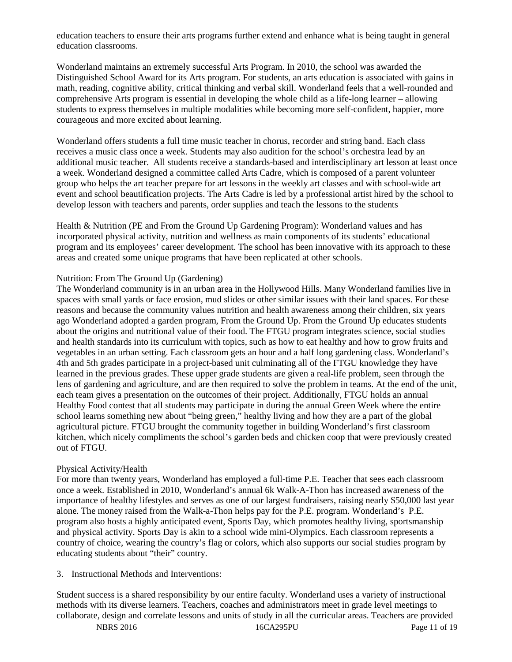education teachers to ensure their arts programs further extend and enhance what is being taught in general education classrooms.

Wonderland maintains an extremely successful Arts Program. In 2010, the school was awarded the Distinguished School Award for its Arts program. For students, an arts education is associated with gains in math, reading, cognitive ability, critical thinking and verbal skill. Wonderland feels that a well-rounded and comprehensive Arts program is essential in developing the whole child as a life-long learner – allowing students to express themselves in multiple modalities while becoming more self-confident, happier, more courageous and more excited about learning.

Wonderland offers students a full time music teacher in chorus, recorder and string band. Each class receives a music class once a week. Students may also audition for the school's orchestra lead by an additional music teacher. All students receive a standards-based and interdisciplinary art lesson at least once a week. Wonderland designed a committee called Arts Cadre, which is composed of a parent volunteer group who helps the art teacher prepare for art lessons in the weekly art classes and with school-wide art event and school beautification projects. The Arts Cadre is led by a professional artist hired by the school to develop lesson with teachers and parents, order supplies and teach the lessons to the students

Health & Nutrition (PE and From the Ground Up Gardening Program): Wonderland values and has incorporated physical activity, nutrition and wellness as main components of its students' educational program and its employees' career development. The school has been innovative with its approach to these areas and created some unique programs that have been replicated at other schools.

#### Nutrition: From The Ground Up (Gardening)

The Wonderland community is in an urban area in the Hollywood Hills. Many Wonderland families live in spaces with small yards or face erosion, mud slides or other similar issues with their land spaces. For these reasons and because the community values nutrition and health awareness among their children, six years ago Wonderland adopted a garden program, From the Ground Up. From the Ground Up educates students about the origins and nutritional value of their food. The FTGU program integrates science, social studies and health standards into its curriculum with topics, such as how to eat healthy and how to grow fruits and vegetables in an urban setting. Each classroom gets an hour and a half long gardening class. Wonderland's 4th and 5th grades participate in a project-based unit culminating all of the FTGU knowledge they have learned in the previous grades. These upper grade students are given a real-life problem, seen through the lens of gardening and agriculture, and are then required to solve the problem in teams. At the end of the unit, each team gives a presentation on the outcomes of their project. Additionally, FTGU holds an annual Healthy Food contest that all students may participate in during the annual Green Week where the entire school learns something new about "being green," healthy living and how they are a part of the global agricultural picture. FTGU brought the community together in building Wonderland's first classroom kitchen, which nicely compliments the school's garden beds and chicken coop that were previously created out of FTGU.

#### Physical Activity/Health

For more than twenty years, Wonderland has employed a full-time P.E. Teacher that sees each classroom once a week. Established in 2010, Wonderland's annual 6k Walk-A-Thon has increased awareness of the importance of healthy lifestyles and serves as one of our largest fundraisers, raising nearly \$50,000 last year alone. The money raised from the Walk-a-Thon helps pay for the P.E. program. Wonderland's P.E. program also hosts a highly anticipated event, Sports Day, which promotes healthy living, sportsmanship and physical activity. Sports Day is akin to a school wide mini-Olympics. Each classroom represents a country of choice, wearing the country's flag or colors, which also supports our social studies program by educating students about "their" country.

#### 3. Instructional Methods and Interventions:

Student success is a shared responsibility by our entire faculty. Wonderland uses a variety of instructional methods with its diverse learners. Teachers, coaches and administrators meet in grade level meetings to collaborate, design and correlate lessons and units of study in all the curricular areas. Teachers are provided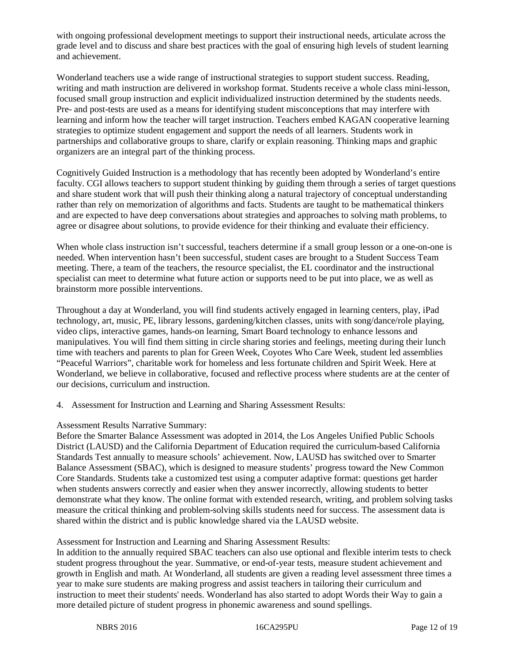with ongoing professional development meetings to support their instructional needs, articulate across the grade level and to discuss and share best practices with the goal of ensuring high levels of student learning and achievement.

Wonderland teachers use a wide range of instructional strategies to support student success. Reading, writing and math instruction are delivered in workshop format. Students receive a whole class mini-lesson, focused small group instruction and explicit individualized instruction determined by the students needs. Pre- and post-tests are used as a means for identifying student misconceptions that may interfere with learning and inform how the teacher will target instruction. Teachers embed KAGAN cooperative learning strategies to optimize student engagement and support the needs of all learners. Students work in partnerships and collaborative groups to share, clarify or explain reasoning. Thinking maps and graphic organizers are an integral part of the thinking process.

Cognitively Guided Instruction is a methodology that has recently been adopted by Wonderland's entire faculty. CGI allows teachers to support student thinking by guiding them through a series of target questions and share student work that will push their thinking along a natural trajectory of conceptual understanding rather than rely on memorization of algorithms and facts. Students are taught to be mathematical thinkers and are expected to have deep conversations about strategies and approaches to solving math problems, to agree or disagree about solutions, to provide evidence for their thinking and evaluate their efficiency.

When whole class instruction isn't successful, teachers determine if a small group lesson or a one-on-one is needed. When intervention hasn't been successful, student cases are brought to a Student Success Team meeting. There, a team of the teachers, the resource specialist, the EL coordinator and the instructional specialist can meet to determine what future action or supports need to be put into place, we as well as brainstorm more possible interventions.

Throughout a day at Wonderland, you will find students actively engaged in learning centers, play, iPad technology, art, music, PE, library lessons, gardening/kitchen classes, units with song/dance/role playing, video clips, interactive games, hands-on learning, Smart Board technology to enhance lessons and manipulatives. You will find them sitting in circle sharing stories and feelings, meeting during their lunch time with teachers and parents to plan for Green Week, Coyotes Who Care Week, student led assemblies "Peaceful Warriors", charitable work for homeless and less fortunate children and Spirit Week. Here at Wonderland, we believe in collaborative, focused and reflective process where students are at the center of our decisions, curriculum and instruction.

4. Assessment for Instruction and Learning and Sharing Assessment Results:

Assessment Results Narrative Summary:

Before the Smarter Balance Assessment was adopted in 2014, the Los Angeles Unified Public Schools District (LAUSD) and the California Department of Education required the curriculum-based California Standards Test annually to measure schools' achievement. Now, LAUSD has switched over to Smarter Balance Assessment (SBAC), which is designed to measure students' progress toward the New Common Core Standards. Students take a customized test using a computer adaptive format: questions get harder when students answers correctly and easier when they answer incorrectly, allowing students to better demonstrate what they know. The online format with extended research, writing, and problem solving tasks measure the critical thinking and problem-solving skills students need for success. The assessment data is shared within the district and is public knowledge shared via the LAUSD website.

Assessment for Instruction and Learning and Sharing Assessment Results:

In addition to the annually required SBAC teachers can also use optional and flexible interim tests to check student progress throughout the year. Summative, or end-of-year tests, measure student achievement and growth in English and math. At Wonderland, all students are given a reading level assessment three times a year to make sure students are making progress and assist teachers in tailoring their curriculum and instruction to meet their students' needs. Wonderland has also started to adopt Words their Way to gain a more detailed picture of student progress in phonemic awareness and sound spellings.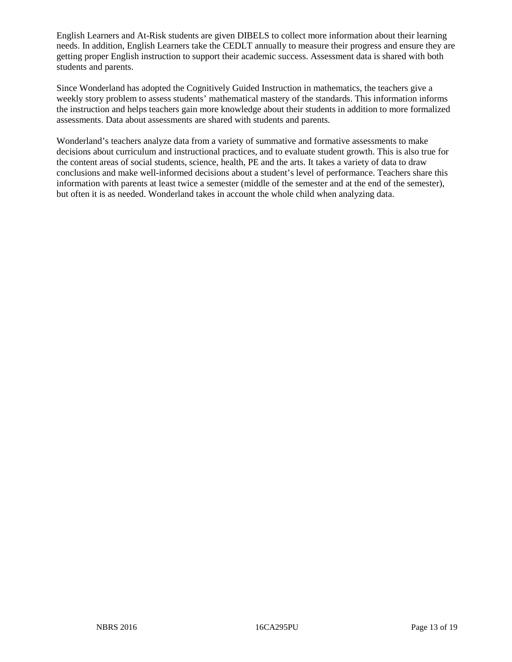English Learners and At-Risk students are given DIBELS to collect more information about their learning needs. In addition, English Learners take the CEDLT annually to measure their progress and ensure they are getting proper English instruction to support their academic success. Assessment data is shared with both students and parents.

Since Wonderland has adopted the Cognitively Guided Instruction in mathematics, the teachers give a weekly story problem to assess students' mathematical mastery of the standards. This information informs the instruction and helps teachers gain more knowledge about their students in addition to more formalized assessments. Data about assessments are shared with students and parents.

Wonderland's teachers analyze data from a variety of summative and formative assessments to make decisions about curriculum and instructional practices, and to evaluate student growth. This is also true for the content areas of social students, science, health, PE and the arts. It takes a variety of data to draw conclusions and make well-informed decisions about a student's level of performance. Teachers share this information with parents at least twice a semester (middle of the semester and at the end of the semester), but often it is as needed. Wonderland takes in account the whole child when analyzing data.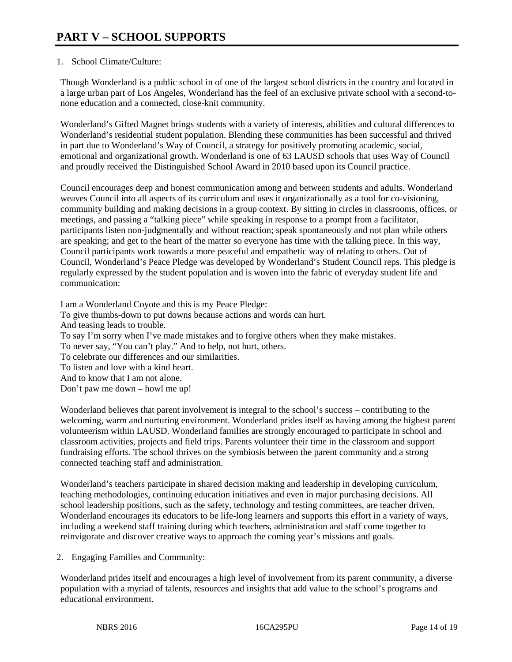## 1. School Climate/Culture:

Though Wonderland is a public school in of one of the largest school districts in the country and located in a large urban part of Los Angeles, Wonderland has the feel of an exclusive private school with a second-tonone education and a connected, close-knit community.

Wonderland's Gifted Magnet brings students with a variety of interests, abilities and cultural differences to Wonderland's residential student population. Blending these communities has been successful and thrived in part due to Wonderland's Way of Council, a strategy for positively promoting academic, social, emotional and organizational growth. Wonderland is one of 63 LAUSD schools that uses Way of Council and proudly received the Distinguished School Award in 2010 based upon its Council practice.

Council encourages deep and honest communication among and between students and adults. Wonderland weaves Council into all aspects of its curriculum and uses it organizationally as a tool for co-visioning, community building and making decisions in a group context. By sitting in circles in classrooms, offices, or meetings, and passing a "talking piece" while speaking in response to a prompt from a facilitator, participants listen non-judgmentally and without reaction; speak spontaneously and not plan while others are speaking; and get to the heart of the matter so everyone has time with the talking piece. In this way, Council participants work towards a more peaceful and empathetic way of relating to others. Out of Council, Wonderland's Peace Pledge was developed by Wonderland's Student Council reps. This pledge is regularly expressed by the student population and is woven into the fabric of everyday student life and communication:

I am a Wonderland Coyote and this is my Peace Pledge: To give thumbs-down to put downs because actions and words can hurt. And teasing leads to trouble. To say I'm sorry when I've made mistakes and to forgive others when they make mistakes. To never say, "You can't play." And to help, not hurt, others. To celebrate our differences and our similarities. To listen and love with a kind heart. And to know that I am not alone. Don't paw me down – howl me up!

Wonderland believes that parent involvement is integral to the school's success – contributing to the welcoming, warm and nurturing environment. Wonderland prides itself as having among the highest parent volunteerism within LAUSD. Wonderland families are strongly encouraged to participate in school and classroom activities, projects and field trips. Parents volunteer their time in the classroom and support fundraising efforts. The school thrives on the symbiosis between the parent community and a strong connected teaching staff and administration.

Wonderland's teachers participate in shared decision making and leadership in developing curriculum, teaching methodologies, continuing education initiatives and even in major purchasing decisions. All school leadership positions, such as the safety, technology and testing committees, are teacher driven. Wonderland encourages its educators to be life-long learners and supports this effort in a variety of ways, including a weekend staff training during which teachers, administration and staff come together to reinvigorate and discover creative ways to approach the coming year's missions and goals.

2. Engaging Families and Community:

Wonderland prides itself and encourages a high level of involvement from its parent community, a diverse population with a myriad of talents, resources and insights that add value to the school's programs and educational environment.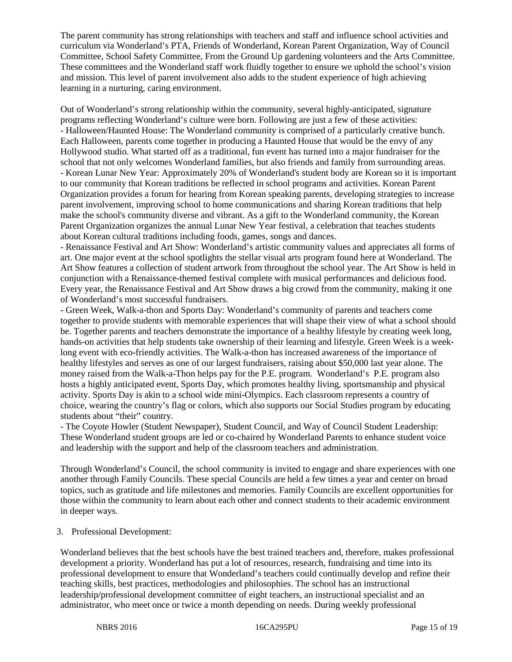The parent community has strong relationships with teachers and staff and influence school activities and curriculum via Wonderland's PTA, Friends of Wonderland, Korean Parent Organization, Way of Council Committee, School Safety Committee, From the Ground Up gardening volunteers and the Arts Committee. These committees and the Wonderland staff work fluidly together to ensure we uphold the school's vision and mission. This level of parent involvement also adds to the student experience of high achieving learning in a nurturing, caring environment.

Out of Wonderland's strong relationship within the community, several highly-anticipated, signature programs reflecting Wonderland's culture were born. Following are just a few of these activities: - Halloween/Haunted House: The Wonderland community is comprised of a particularly creative bunch. Each Halloween, parents come together in producing a Haunted House that would be the envy of any Hollywood studio. What started off as a traditional, fun event has turned into a major fundraiser for the school that not only welcomes Wonderland families, but also friends and family from surrounding areas. - Korean Lunar New Year: Approximately 20% of Wonderland's student body are Korean so it is important to our community that Korean traditions be reflected in school programs and activities. Korean Parent Organization provides a forum for hearing from Korean speaking parents, developing strategies to increase parent involvement, improving school to home communications and sharing Korean traditions that help make the school's community diverse and vibrant. As a gift to the Wonderland community, the Korean Parent Organization organizes the annual Lunar New Year festival, a celebration that teaches students about Korean cultural traditions including foods, games, songs and dances.

- Renaissance Festival and Art Show: Wonderland's artistic community values and appreciates all forms of art. One major event at the school spotlights the stellar visual arts program found here at Wonderland. The Art Show features a collection of student artwork from throughout the school year. The Art Show is held in conjunction with a Renaissance-themed festival complete with musical performances and delicious food. Every year, the Renaissance Festival and Art Show draws a big crowd from the community, making it one of Wonderland's most successful fundraisers.

- Green Week, Walk-a-thon and Sports Day: Wonderland's community of parents and teachers come together to provide students with memorable experiences that will shape their view of what a school should be. Together parents and teachers demonstrate the importance of a healthy lifestyle by creating week long, hands-on activities that help students take ownership of their learning and lifestyle. Green Week is a weeklong event with eco-friendly activities. The Walk-a-thon has increased awareness of the importance of healthy lifestyles and serves as one of our largest fundraisers, raising about \$50,000 last year alone. The money raised from the Walk-a-Thon helps pay for the P.E. program. Wonderland's P.E. program also hosts a highly anticipated event, Sports Day, which promotes healthy living, sportsmanship and physical activity. Sports Day is akin to a school wide mini-Olympics. Each classroom represents a country of choice, wearing the country's flag or colors, which also supports our Social Studies program by educating students about "their" country.

- The Coyote Howler (Student Newspaper), Student Council, and Way of Council Student Leadership: These Wonderland student groups are led or co-chaired by Wonderland Parents to enhance student voice and leadership with the support and help of the classroom teachers and administration.

Through Wonderland's Council, the school community is invited to engage and share experiences with one another through Family Councils. These special Councils are held a few times a year and center on broad topics, such as gratitude and life milestones and memories. Family Councils are excellent opportunities for those within the community to learn about each other and connect students to their academic environment in deeper ways.

#### 3. Professional Development:

Wonderland believes that the best schools have the best trained teachers and, therefore, makes professional development a priority. Wonderland has put a lot of resources, research, fundraising and time into its professional development to ensure that Wonderland's teachers could continually develop and refine their teaching skills, best practices, methodologies and philosophies. The school has an instructional leadership/professional development committee of eight teachers, an instructional specialist and an administrator, who meet once or twice a month depending on needs. During weekly professional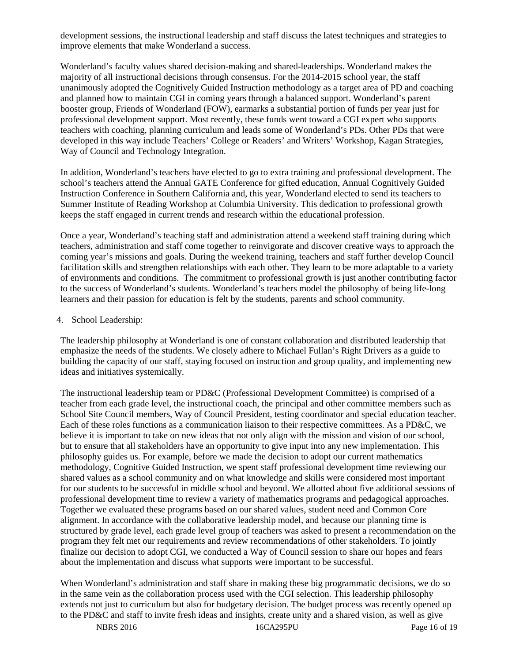development sessions, the instructional leadership and staff discuss the latest techniques and strategies to improve elements that make Wonderland a success.

Wonderland's faculty values shared decision-making and shared-leaderships. Wonderland makes the majority of all instructional decisions through consensus. For the 2014-2015 school year, the staff unanimously adopted the Cognitively Guided Instruction methodology as a target area of PD and coaching and planned how to maintain CGI in coming years through a balanced support. Wonderland's parent booster group, Friends of Wonderland (FOW), earmarks a substantial portion of funds per year just for professional development support. Most recently, these funds went toward a CGI expert who supports teachers with coaching, planning curriculum and leads some of Wonderland's PDs. Other PDs that were developed in this way include Teachers' College or Readers' and Writers' Workshop, Kagan Strategies, Way of Council and Technology Integration.

In addition, Wonderland's teachers have elected to go to extra training and professional development. The school's teachers attend the Annual GATE Conference for gifted education, Annual Cognitively Guided Instruction Conference in Southern California and, this year, Wonderland elected to send its teachers to Summer Institute of Reading Workshop at Columbia University. This dedication to professional growth keeps the staff engaged in current trends and research within the educational profession.

Once a year, Wonderland's teaching staff and administration attend a weekend staff training during which teachers, administration and staff come together to reinvigorate and discover creative ways to approach the coming year's missions and goals. During the weekend training, teachers and staff further develop Council facilitation skills and strengthen relationships with each other. They learn to be more adaptable to a variety of environments and conditions. The commitment to professional growth is just another contributing factor to the success of Wonderland's students. Wonderland's teachers model the philosophy of being life-long learners and their passion for education is felt by the students, parents and school community.

#### 4. School Leadership:

The leadership philosophy at Wonderland is one of constant collaboration and distributed leadership that emphasize the needs of the students. We closely adhere to Michael Fullan's Right Drivers as a guide to building the capacity of our staff, staying focused on instruction and group quality, and implementing new ideas and initiatives systemically.

The instructional leadership team or PD&C (Professional Development Committee) is comprised of a teacher from each grade level, the instructional coach, the principal and other committee members such as School Site Council members, Way of Council President, testing coordinator and special education teacher. Each of these roles functions as a communication liaison to their respective committees. As a PD&C, we believe it is important to take on new ideas that not only align with the mission and vision of our school, but to ensure that all stakeholders have an opportunity to give input into any new implementation. This philosophy guides us. For example, before we made the decision to adopt our current mathematics methodology, Cognitive Guided Instruction, we spent staff professional development time reviewing our shared values as a school community and on what knowledge and skills were considered most important for our students to be successful in middle school and beyond. We allotted about five additional sessions of professional development time to review a variety of mathematics programs and pedagogical approaches. Together we evaluated these programs based on our shared values, student need and Common Core alignment. In accordance with the collaborative leadership model, and because our planning time is structured by grade level, each grade level group of teachers was asked to present a recommendation on the program they felt met our requirements and review recommendations of other stakeholders. To jointly finalize our decision to adopt CGI, we conducted a Way of Council session to share our hopes and fears about the implementation and discuss what supports were important to be successful.

When Wonderland's administration and staff share in making these big programmatic decisions, we do so in the same vein as the collaboration process used with the CGI selection. This leadership philosophy extends not just to curriculum but also for budgetary decision. The budget process was recently opened up to the PD&C and staff to invite fresh ideas and insights, create unity and a shared vision, as well as give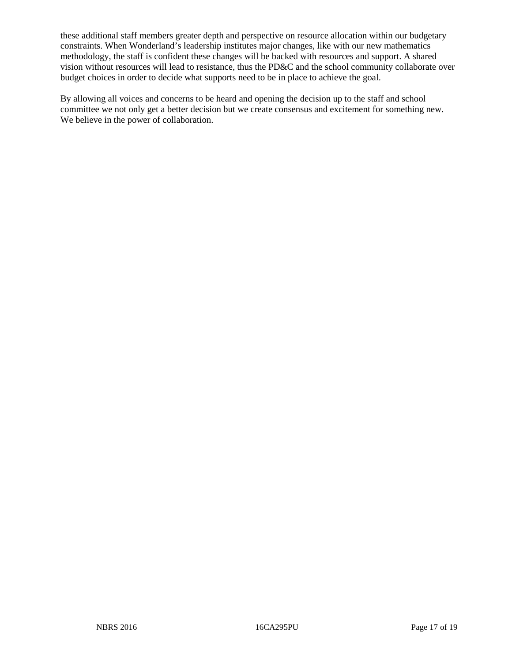these additional staff members greater depth and perspective on resource allocation within our budgetary constraints. When Wonderland's leadership institutes major changes, like with our new mathematics methodology, the staff is confident these changes will be backed with resources and support. A shared vision without resources will lead to resistance, thus the PD&C and the school community collaborate over budget choices in order to decide what supports need to be in place to achieve the goal.

By allowing all voices and concerns to be heard and opening the decision up to the staff and school committee we not only get a better decision but we create consensus and excitement for something new. We believe in the power of collaboration.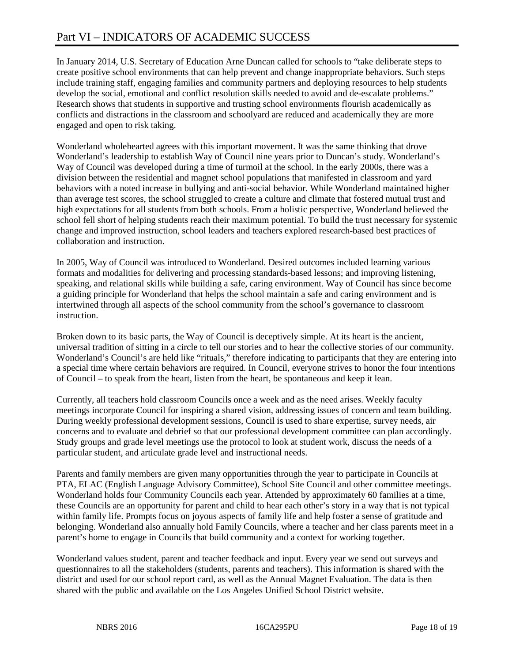In January 2014, U.S. Secretary of Education Arne Duncan called for schools to "take deliberate steps to create positive school environments that can help prevent and change inappropriate behaviors. Such steps include training staff, engaging families and community partners and deploying resources to help students develop the social, emotional and conflict resolution skills needed to avoid and de-escalate problems." Research shows that students in supportive and trusting school environments flourish academically as conflicts and distractions in the classroom and schoolyard are reduced and academically they are more engaged and open to risk taking.

Wonderland wholehearted agrees with this important movement. It was the same thinking that drove Wonderland's leadership to establish Way of Council nine years prior to Duncan's study. Wonderland's Way of Council was developed during a time of turmoil at the school. In the early 2000s, there was a division between the residential and magnet school populations that manifested in classroom and yard behaviors with a noted increase in bullying and anti-social behavior. While Wonderland maintained higher than average test scores, the school struggled to create a culture and climate that fostered mutual trust and high expectations for all students from both schools. From a holistic perspective, Wonderland believed the school fell short of helping students reach their maximum potential. To build the trust necessary for systemic change and improved instruction, school leaders and teachers explored research-based best practices of collaboration and instruction.

In 2005, Way of Council was introduced to Wonderland. Desired outcomes included learning various formats and modalities for delivering and processing standards-based lessons; and improving listening, speaking, and relational skills while building a safe, caring environment. Way of Council has since become a guiding principle for Wonderland that helps the school maintain a safe and caring environment and is intertwined through all aspects of the school community from the school's governance to classroom instruction.

Broken down to its basic parts, the Way of Council is deceptively simple. At its heart is the ancient, universal tradition of sitting in a circle to tell our stories and to hear the collective stories of our community. Wonderland's Council's are held like "rituals," therefore indicating to participants that they are entering into a special time where certain behaviors are required. In Council, everyone strives to honor the four intentions of Council – to speak from the heart, listen from the heart, be spontaneous and keep it lean.

Currently, all teachers hold classroom Councils once a week and as the need arises. Weekly faculty meetings incorporate Council for inspiring a shared vision, addressing issues of concern and team building. During weekly professional development sessions, Council is used to share expertise, survey needs, air concerns and to evaluate and debrief so that our professional development committee can plan accordingly. Study groups and grade level meetings use the protocol to look at student work, discuss the needs of a particular student, and articulate grade level and instructional needs.

Parents and family members are given many opportunities through the year to participate in Councils at PTA, ELAC (English Language Advisory Committee), School Site Council and other committee meetings. Wonderland holds four Community Councils each year. Attended by approximately 60 families at a time, these Councils are an opportunity for parent and child to hear each other's story in a way that is not typical within family life. Prompts focus on joyous aspects of family life and help foster a sense of gratitude and belonging. Wonderland also annually hold Family Councils, where a teacher and her class parents meet in a parent's home to engage in Councils that build community and a context for working together.

Wonderland values student, parent and teacher feedback and input. Every year we send out surveys and questionnaires to all the stakeholders (students, parents and teachers). This information is shared with the district and used for our school report card, as well as the Annual Magnet Evaluation. The data is then shared with the public and available on the Los Angeles Unified School District website.